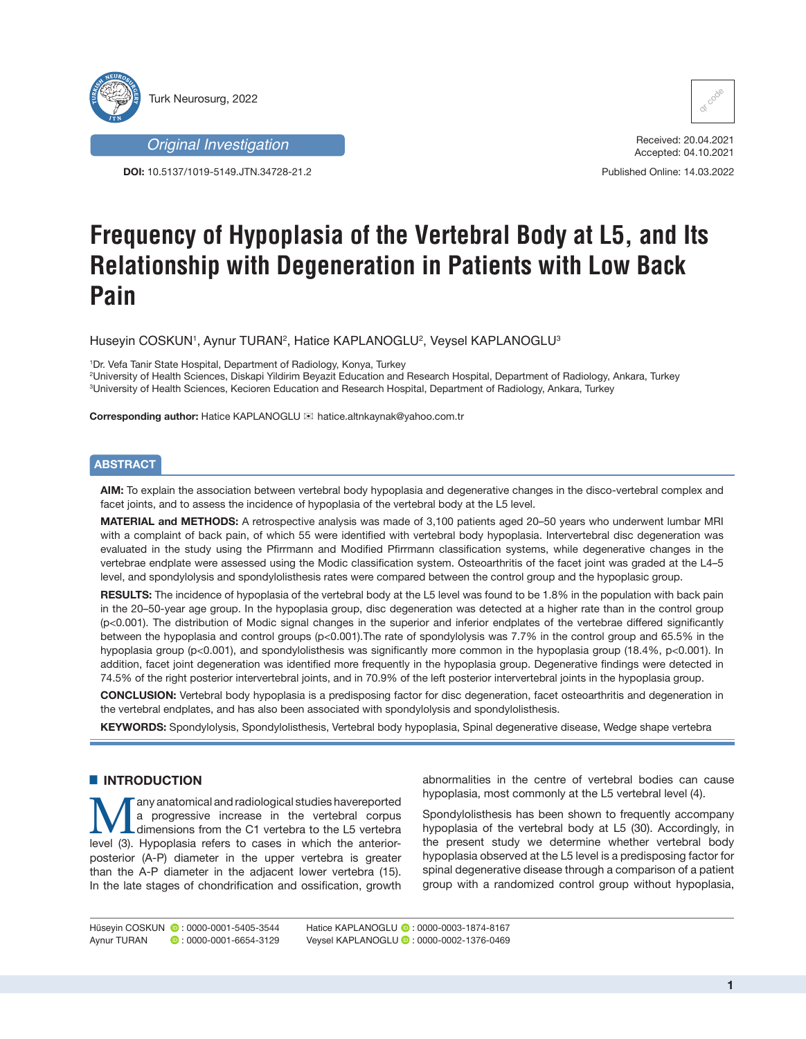



**DOI:** 10.5137/1019-5149.JTN.34728-21.2



Received: 20.04.2021 Accepted: 04.10.2021

Published Online: 14.03.2022

# **Frequency of Hypoplasia of the Vertebral Body at L5, and Its Relationship with Degeneration in Patients with Low Back Pain**

Huseyin COSKUN', Aynur TURAN<sup>2</sup>, Hatice KAPLANOGLU<sup>2</sup>, Veysel KAPLANOGLU<sup>3</sup>

1 Dr. Vefa Tanir State Hospital, Department of Radiology, Konya, Turkey

2 University of Health Sciences, Diskapi Yildirim Beyazit Education and Research Hospital, Department of Radiology, Ankara, Turkey 3 University of Health Sciences, Kecioren Education and Research Hospital, Department of Radiology, Ankara, Turkey

**Corresponding author:** Hatice KAPLANOGLU hatice.altnkaynak@yahoo.com.tr

# **ABSTRACT**

**AIM:** To explain the association between vertebral body hypoplasia and degenerative changes in the disco-vertebral complex and facet joints, and to assess the incidence of hypoplasia of the vertebral body at the L5 level.

**MATERIAL and METHODS:** A retrospective analysis was made of 3,100 patients aged 20–50 years who underwent lumbar MRI with a complaint of back pain, of which 55 were identified with vertebral body hypoplasia. Intervertebral disc degeneration was evaluated in the study using the Pfirrmann and Modified Pfirrmann classification systems, while degenerative changes in the vertebrae endplate were assessed using the Modic classification system. Osteoarthritis of the facet joint was graded at the L4–5 level, and spondylolysis and spondylolisthesis rates were compared between the control group and the hypoplasic group.

**RESULTS:** The incidence of hypoplasia of the vertebral body at the L5 level was found to be 1.8% in the population with back pain in the 20–50-year age group. In the hypoplasia group, disc degeneration was detected at a higher rate than in the control group (p<0.001). The distribution of Modic signal changes in the superior and inferior endplates of the vertebrae differed significantly between the hypoplasia and control groups (p<0.001). The rate of spondylolysis was 7.7% in the control group and 65.5% in the hypoplasia group (p<0.001), and spondylolisthesis was significantly more common in the hypoplasia group (18.4%, p<0.001). In addition, facet joint degeneration was identified more frequently in the hypoplasia group. Degenerative findings were detected in 74.5% of the right posterior intervertebral joints, and in 70.9% of the left posterior intervertebral joints in the hypoplasia group.

**CONCLUSION:** Vertebral body hypoplasia is a predisposing factor for disc degeneration, facet osteoarthritis and degeneration in the vertebral endplates, and has also been associated with spondylolysis and spondylolisthesis.

**KEYWORDS:** Spondylolysis, Spondylolisthesis, Vertebral body hypoplasia, Spinal degenerative disease, Wedge shape vertebra

# █ **INTRODUCTION**

**Many anatomical and radiological studies havereported**<br>
dimensions from the C1 vertebra to the L5 vertebra<br>
level (3) Hypoplasia refers to cases in which the anteriora progressive increase in the vertebral corpus level (3). Hypoplasia refers to cases in which the anteriorposterior (A-P) diameter in the upper vertebra is greater than the A-P diameter in the adjacent lower vertebra (15). In the late stages of chondrification and ossification, growth

abnormalities in the centre of vertebral bodies can cause hypoplasia, most commonly at the L5 vertebral level (4).

Spondylolisthesis has been shown to frequently accompany hypoplasia of the vertebral body at L5 (30). Accordingly, in the present study we determine whether vertebral body hypoplasia observed at the L5 level is a predisposing factor for spinal degenerative disease through a comparison of a patient group with a randomized control group without hypoplasia,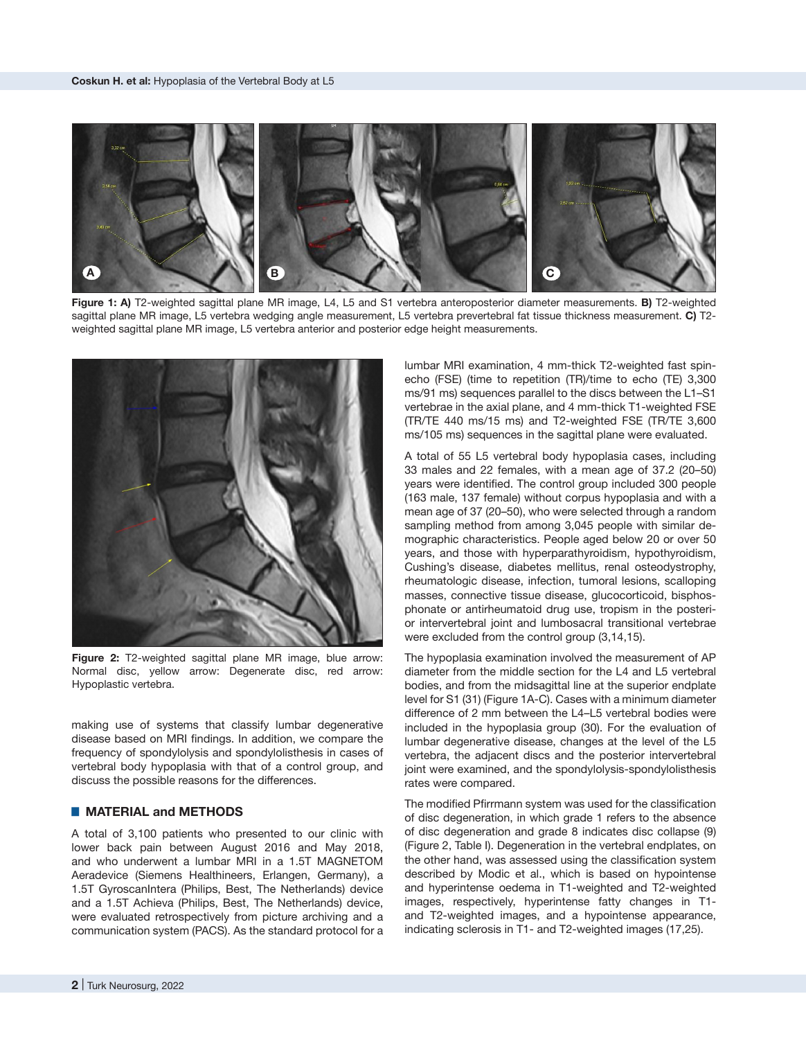

**Figure 1: A)** T2-weighted sagittal plane MR image, L4, L5 and S1 vertebra anteroposterior diameter measurements. **B)** T2-weighted sagittal plane MR image, L5 vertebra wedging angle measurement, L5 vertebra prevertebral fat tissue thickness measurement. **C)** T2 weighted sagittal plane MR image, L5 vertebra anterior and posterior edge height measurements.



**Figure 2:** T2-weighted sagittal plane MR image, blue arrow: Normal disc, yellow arrow: Degenerate disc, red arrow: Hypoplastic vertebra.

making use of systems that classify lumbar degenerative disease based on MRI findings. In addition, we compare the frequency of spondylolysis and spondylolisthesis in cases of vertebral body hypoplasia with that of a control group, and discuss the possible reasons for the differences.

# █ **MATERIAL and METHODS**

A total of 3,100 patients who presented to our clinic with lower back pain between August 2016 and May 2018, and who underwent a lumbar MRI in a 1.5T MAGNETOM Aeradevice (Siemens Healthineers, Erlangen, Germany), a 1.5T GyroscanIntera (Philips, Best, The Netherlands) device and a 1.5T Achieva (Philips, Best, The Netherlands) device, were evaluated retrospectively from picture archiving and a communication system (PACS). As the standard protocol for a

lumbar MRI examination, 4 mm-thick T2-weighted fast spinecho (FSE) (time to repetition (TR)/time to echo (TE) 3,300 ms/91 ms) sequences parallel to the discs between the L1–S1 vertebrae in the axial plane, and 4 mm-thick T1-weighted FSE (TR/TE 440 ms/15 ms) and T2-weighted FSE (TR/TE 3,600 ms/105 ms) sequences in the sagittal plane were evaluated.

A total of 55 L5 vertebral body hypoplasia cases, including 33 males and 22 females, with a mean age of 37.2 (20–50) years were identified. The control group included 300 people (163 male, 137 female) without corpus hypoplasia and with a mean age of 37 (20–50), who were selected through a random sampling method from among 3,045 people with similar demographic characteristics. People aged below 20 or over 50 years, and those with hyperparathyroidism, hypothyroidism, Cushing's disease, diabetes mellitus, renal osteodystrophy, rheumatologic disease, infection, tumoral lesions, scalloping masses, connective tissue disease, glucocorticoid, bisphosphonate or antirheumatoid drug use, tropism in the posterior intervertebral joint and lumbosacral transitional vertebrae were excluded from the control group (3,14,15).

The hypoplasia examination involved the measurement of AP diameter from the middle section for the L4 and L5 vertebral bodies, and from the midsagittal line at the superior endplate level for S1 (31) (Figure 1A-C). Cases with a minimum diameter difference of 2 mm between the L4–L5 vertebral bodies were included in the hypoplasia group (30). For the evaluation of lumbar degenerative disease, changes at the level of the L5 vertebra, the adjacent discs and the posterior intervertebral joint were examined, and the spondylolysis-spondylolisthesis rates were compared.

The modified Pfirrmann system was used for the classification of disc degeneration, in which grade 1 refers to the absence of disc degeneration and grade 8 indicates disc collapse (9) (Figure 2, Table I). Degeneration in the vertebral endplates, on the other hand, was assessed using the classification system described by Modic et al., which is based on hypointense and hyperintense oedema in T1-weighted and T2-weighted images, respectively, hyperintense fatty changes in T1 and T2-weighted images, and a hypointense appearance, indicating sclerosis in T1- and T2-weighted images (17,25).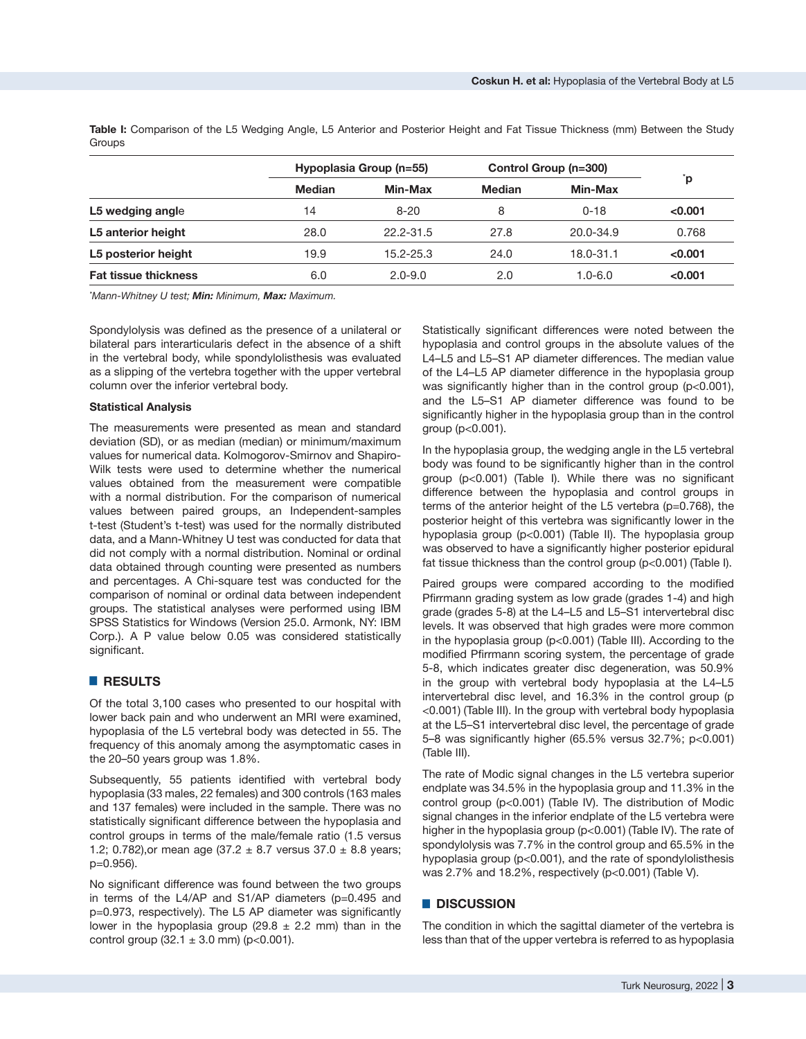**Table I:** Comparison of the L5 Wedging Angle, L5 Anterior and Posterior Height and Fat Tissue Thickness (mm) Between the Study **Groups** 

|                             |               | Hypoplasia Group (n=55) | Control Group (n=300) |               |         |
|-----------------------------|---------------|-------------------------|-----------------------|---------------|---------|
|                             | <b>Median</b> | Min-Max                 | <b>Median</b>         | Min-Max       | `p      |
| L5 wedging angle            | 14            | $8 - 20$                | 8                     | $0 - 18$      | < 0.001 |
| L5 anterior height          | 28.0          | 22.2-31.5               | 27.8                  | $20.0 - 34.9$ | 0.768   |
| L5 posterior height         | 19.9          | $15.2 - 25.3$           | 24.0                  | 18.0-31.1     | < 0.001 |
| <b>Fat tissue thickness</b> | 6.0           | $2.0 - 9.0$             | 2.0                   | $1.0 - 6.0$   | < 0.001 |

*\* Mann-Whitney U test; Min: Minimum, Max: Maximum.*

Spondylolysis was defined as the presence of a unilateral or bilateral pars interarticularis defect in the absence of a shift in the vertebral body, while spondylolisthesis was evaluated as a slipping of the vertebra together with the upper vertebral column over the inferior vertebral body.

#### **Statistical Analysis**

The measurements were presented as mean and standard deviation (SD), or as median (median) or minimum/maximum values for numerical data. Kolmogorov-Smirnov and Shapiro-Wilk tests were used to determine whether the numerical values obtained from the measurement were compatible with a normal distribution. For the comparison of numerical values between paired groups, an Independent-samples t-test (Student's t-test) was used for the normally distributed data, and a Mann-Whitney U test was conducted for data that did not comply with a normal distribution. Nominal or ordinal data obtained through counting were presented as numbers and percentages. A Chi-square test was conducted for the comparison of nominal or ordinal data between independent groups. The statistical analyses were performed using IBM SPSS Statistics for Windows (Version 25.0. Armonk, NY: IBM Corp.). A P value below 0.05 was considered statistically significant.

# █ **RESULTS**

Of the total 3,100 cases who presented to our hospital with lower back pain and who underwent an MRI were examined, hypoplasia of the L5 vertebral body was detected in 55. The frequency of this anomaly among the asymptomatic cases in the 20–50 years group was 1.8%.

Subsequently, 55 patients identified with vertebral body hypoplasia (33 males, 22 females) and 300 controls (163 males and 137 females) were included in the sample. There was no statistically significant difference between the hypoplasia and control groups in terms of the male/female ratio (1.5 versus 1.2; 0.782), or mean age (37.2  $\pm$  8.7 versus 37.0  $\pm$  8.8 years; p=0.956).

No significant difference was found between the two groups in terms of the L4/AP and S1/AP diameters (p=0.495 and p=0.973, respectively). The L5 AP diameter was significantly lower in the hypoplasia group (29.8  $\pm$  2.2 mm) than in the control group  $(32.1 \pm 3.0 \text{ mm})$  (p<0.001).

Statistically significant differences were noted between the hypoplasia and control groups in the absolute values of the L4–L5 and L5–S1 AP diameter differences. The median value of the L4–L5 AP diameter difference in the hypoplasia group was significantly higher than in the control group (p<0.001), and the L5–S1 AP diameter difference was found to be significantly higher in the hypoplasia group than in the control group (p<0.001).

In the hypoplasia group, the wedging angle in the L5 vertebral body was found to be significantly higher than in the control group (p<0.001) (Table I). While there was no significant difference between the hypoplasia and control groups in terms of the anterior height of the L5 vertebra (p=0.768), the posterior height of this vertebra was significantly lower in the hypoplasia group (p<0.001) (Table II). The hypoplasia group was observed to have a significantly higher posterior epidural fat tissue thickness than the control group (p<0.001) (Table I).

Paired groups were compared according to the modified Pfirrmann grading system as low grade (grades 1-4) and high grade (grades 5-8) at the L4–L5 and L5–S1 intervertebral disc levels. It was observed that high grades were more common in the hypoplasia group (p<0.001) (Table III). According to the modified Pfirrmann scoring system, the percentage of grade 5-8, which indicates greater disc degeneration, was 50.9% in the group with vertebral body hypoplasia at the L4–L5 intervertebral disc level, and 16.3% in the control group (p <0.001) (Table III). In the group with vertebral body hypoplasia at the L5–S1 intervertebral disc level, the percentage of grade 5–8 was significantly higher (65.5% versus 32.7%; p<0.001) (Table III).

The rate of Modic signal changes in the L5 vertebra superior endplate was 34.5% in the hypoplasia group and 11.3% in the control group (p<0.001) (Table IV). The distribution of Modic signal changes in the inferior endplate of the L5 vertebra were higher in the hypoplasia group (p<0.001) (Table IV). The rate of spondylolysis was 7.7% in the control group and 65.5% in the hypoplasia group (p<0.001), and the rate of spondylolisthesis was 2.7% and 18.2%, respectively (p<0.001) (Table V).

#### █ **DISCUSSION**

The condition in which the sagittal diameter of the vertebra is less than that of the upper vertebra is referred to as hypoplasia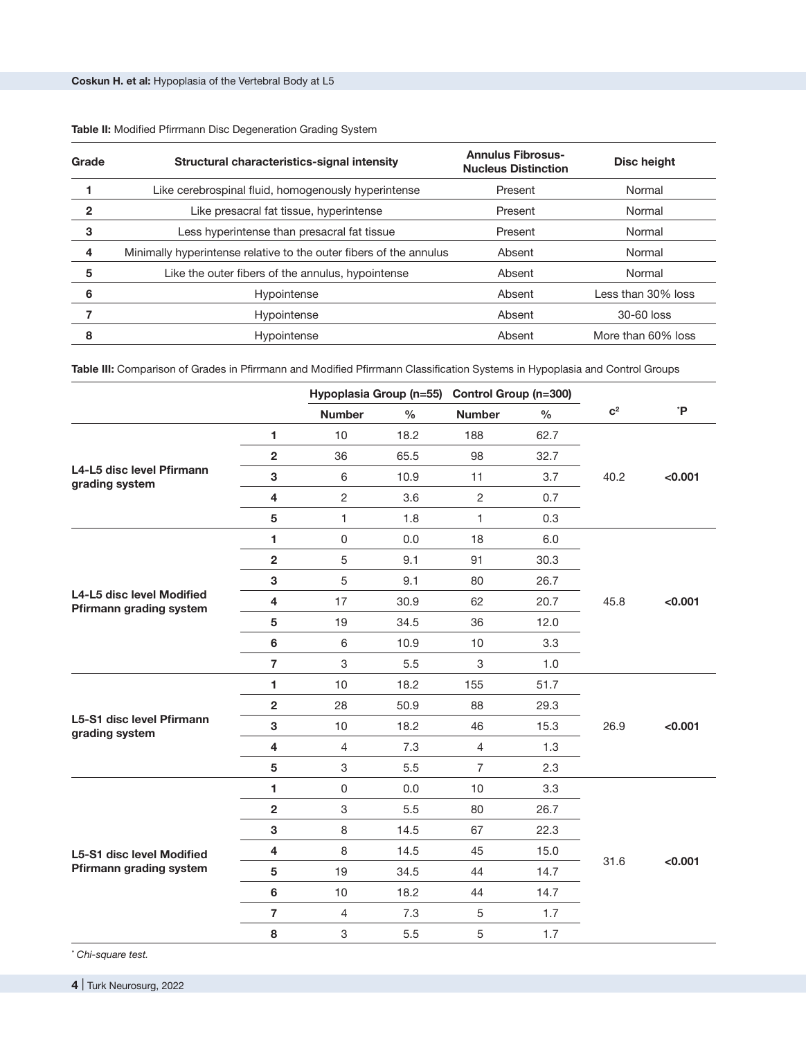| Grade | Structural characteristics-signal intensity                        | <b>Annulus Fibrosus-</b><br><b>Nucleus Distinction</b> | Disc height        |  |
|-------|--------------------------------------------------------------------|--------------------------------------------------------|--------------------|--|
|       | Like cerebrospinal fluid, homogenously hyperintense                | Present                                                | Normal             |  |
| 2     | Like presacral fat tissue, hyperintense                            | Present                                                | Normal             |  |
| 3     | Less hyperintense than presacral fat tissue                        | Present                                                | Normal             |  |
| 4     | Minimally hyperintense relative to the outer fibers of the annulus | Absent                                                 | Normal             |  |
| 5     | Like the outer fibers of the annulus, hypointense                  | Absent                                                 | Normal             |  |
| 6     | Hypointense                                                        | Absent                                                 | Less than 30% loss |  |
|       | Hypointense                                                        | Absent                                                 | 30-60 loss         |  |
| 8     | Hypointense                                                        | Absent                                                 | More than 60% loss |  |

# **Table II:** Modified Pfirrmann Disc Degeneration Grading System

**Table III:** Comparison of Grades in Pfirrmann and Modified Pfirrmann Classification Systems in Hypoplasia and Control Groups

|                                                      |                         | Hypoplasia Group (n=55)<br>Control Group (n=300) |               |                |      |                |         |
|------------------------------------------------------|-------------------------|--------------------------------------------------|---------------|----------------|------|----------------|---------|
|                                                      |                         | <b>Number</b>                                    | $\frac{0}{0}$ | <b>Number</b>  | $\%$ | c <sup>2</sup> | `P      |
|                                                      | 1                       | 10                                               | 18.2          | 188            | 62.7 |                |         |
|                                                      | $\overline{\mathbf{2}}$ | 36                                               | 65.5          | 98             | 32.7 |                |         |
| L4-L5 disc level Pfirmann<br>grading system          | 3                       | 6                                                | 10.9          | 11             | 3.7  | 40.2           | < 0.001 |
|                                                      | 4                       | $\overline{2}$                                   | 3.6           | $\overline{c}$ | 0.7  |                |         |
|                                                      | 5                       | $\mathbf{1}$                                     | 1.8           | 1              | 0.3  |                |         |
|                                                      | 1                       | $\mathsf 0$                                      | 0.0           | 18             | 6.0  |                |         |
|                                                      | $\overline{\mathbf{2}}$ | 5                                                | 9.1           | 91             | 30.3 |                |         |
|                                                      | 3                       | 5                                                | 9.1           | 80             | 26.7 |                |         |
| L4-L5 disc level Modified<br>Pfirmann grading system | 4                       | 17                                               | 30.9          | 62             | 20.7 | 45.8           | < 0.001 |
|                                                      | 5                       | 19                                               | 34.5          | 36             | 12.0 |                |         |
|                                                      | 6                       | 6                                                | 10.9          | 10             | 3.3  |                |         |
|                                                      | $\overline{7}$          | 3                                                | 5.5           | 3              | 1.0  |                |         |
|                                                      | 1                       | 10                                               | 18.2          | 155            | 51.7 |                |         |
|                                                      | $\overline{2}$          | 28                                               | 50.9          | 88             | 29.3 |                |         |
| L5-S1 disc level Pfirmann<br>grading system          | 3                       | 10                                               | 18.2          | 46             | 15.3 | 26.9           | < 0.001 |
|                                                      | 4                       | $\overline{4}$                                   | 7.3           | $\overline{4}$ | 1.3  |                |         |
|                                                      | 5                       | 3                                                | 5.5           | $\overline{7}$ | 2.3  |                |         |
|                                                      | 1                       | $\mathsf 0$                                      | 0.0           | 10             | 3.3  |                |         |
|                                                      | $\overline{\mathbf{2}}$ | 3                                                | 5.5           | 80             | 26.7 |                |         |
|                                                      | 3                       | 8                                                | 14.5          | 67             | 22.3 |                |         |
| L5-S1 disc level Modified                            | $\overline{\mathbf{4}}$ | 8                                                | 14.5          | 45             | 15.0 |                |         |
| Pfirmann grading system                              | 5                       | 19                                               | 34.5          | 44             | 14.7 | 31.6           | < 0.001 |
|                                                      | $6\phantom{a}$          | 10                                               | 18.2          | 44             | 14.7 |                |         |
|                                                      | $\overline{7}$          | $\overline{4}$                                   | 7.3           | 5              | 1.7  |                |         |
|                                                      | 8                       | 3                                                | 5.5           | 5              | 1.7  |                |         |

*\* Chi-square test.*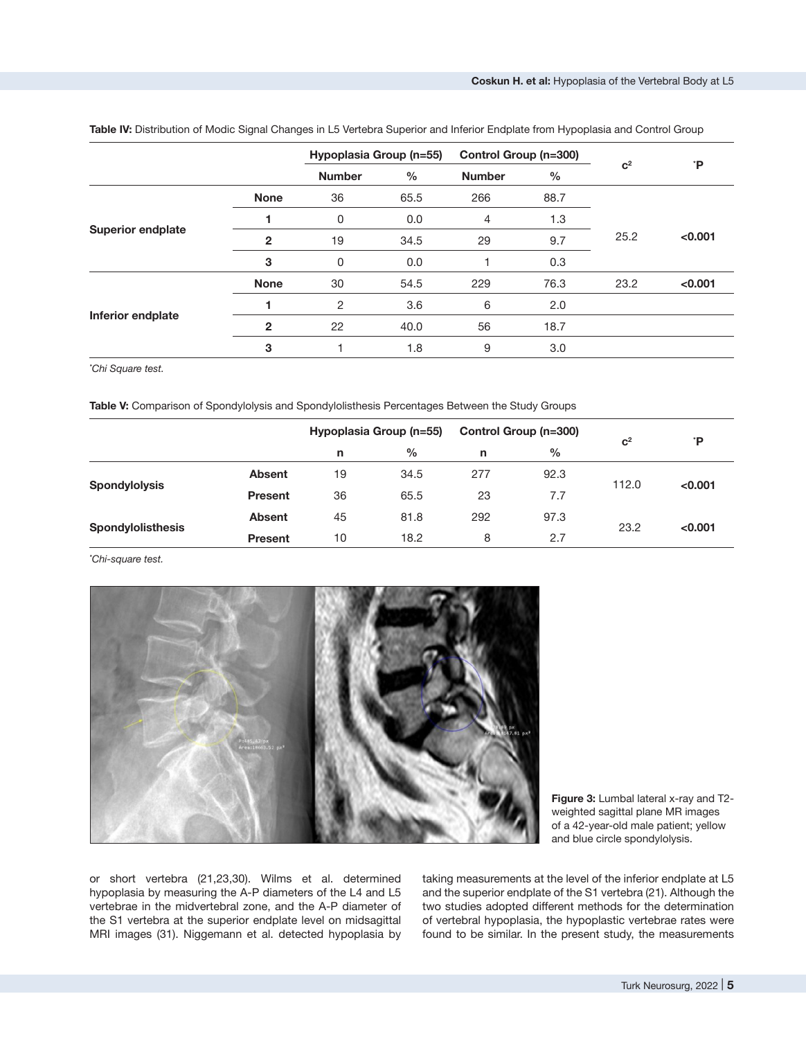|                          |                | Hypoplasia Group (n=55) |               | Control Group (n=300) |      |                |         |
|--------------------------|----------------|-------------------------|---------------|-----------------------|------|----------------|---------|
|                          |                | <b>Number</b>           | $\frac{0}{0}$ | <b>Number</b>         | $\%$ | c <sup>2</sup> | ĩР.     |
| <b>Superior endplate</b> | <b>None</b>    | 36                      | 65.5          | 266                   | 88.7 |                |         |
|                          |                | 0                       | 0.0           | 4                     | 1.3  |                |         |
|                          | $\overline{2}$ | 19                      | 34.5          | 29                    | 9.7  | 25.2           | < 0.001 |
|                          | 3              | 0                       | 0.0           |                       | 0.3  |                |         |
| Inferior endplate        | <b>None</b>    | 30                      | 54.5          | 229                   | 76.3 | 23.2           | < 0.001 |
|                          |                | $\overline{c}$          | 3.6           | 6                     | 2.0  |                |         |
|                          | $\mathbf{2}$   | 22                      | 40.0          | 56                    | 18.7 |                |         |
|                          | 3              |                         | 1.8           | 9                     | 3.0  |                |         |

Table IV: Distribution of Modic Signal Changes in L5 Vertebra Superior and Inferior Endplate from Hypoplasia and Control Group

*\* Chi Square test.*

**Table V:** Comparison of Spondylolysis and Spondylolisthesis Percentages Between the Study Groups

|                          |                | Hypoplasia Group (n=55) |      | Control Group (n=300) |               |                | *P      |
|--------------------------|----------------|-------------------------|------|-----------------------|---------------|----------------|---------|
|                          |                | n                       | %    | n                     | $\frac{0}{0}$ | c <sup>2</sup> |         |
| <b>Spondylolysis</b>     | <b>Absent</b>  | 19                      | 34.5 | 277                   | 92.3          | 112.0          | < 0.001 |
|                          | <b>Present</b> | 36                      | 65.5 | 23                    | 7.7           |                |         |
| <b>Spondylolisthesis</b> | <b>Absent</b>  | 45                      | 81.8 | 292                   | 97.3          | 23.2           | < 0.001 |
|                          | <b>Present</b> | 10                      | 18.2 | 8                     | 2.7           |                |         |

*\* Chi-square test.*



**Figure 3:** Lumbal lateral x-ray and T2 weighted sagittal plane MR images of a 42-year-old male patient; yellow and blue circle spondylolysis.

or short vertebra (21,23,30). Wilms et al. determined hypoplasia by measuring the A-P diameters of the L4 and L5 vertebrae in the midvertebral zone, and the A-P diameter of the S1 vertebra at the superior endplate level on midsagittal MRI images (31). Niggemann et al. detected hypoplasia by taking measurements at the level of the inferior endplate at L5 and the superior endplate of the S1 vertebra (21). Although the two studies adopted different methods for the determination of vertebral hypoplasia, the hypoplastic vertebrae rates were found to be similar. In the present study, the measurements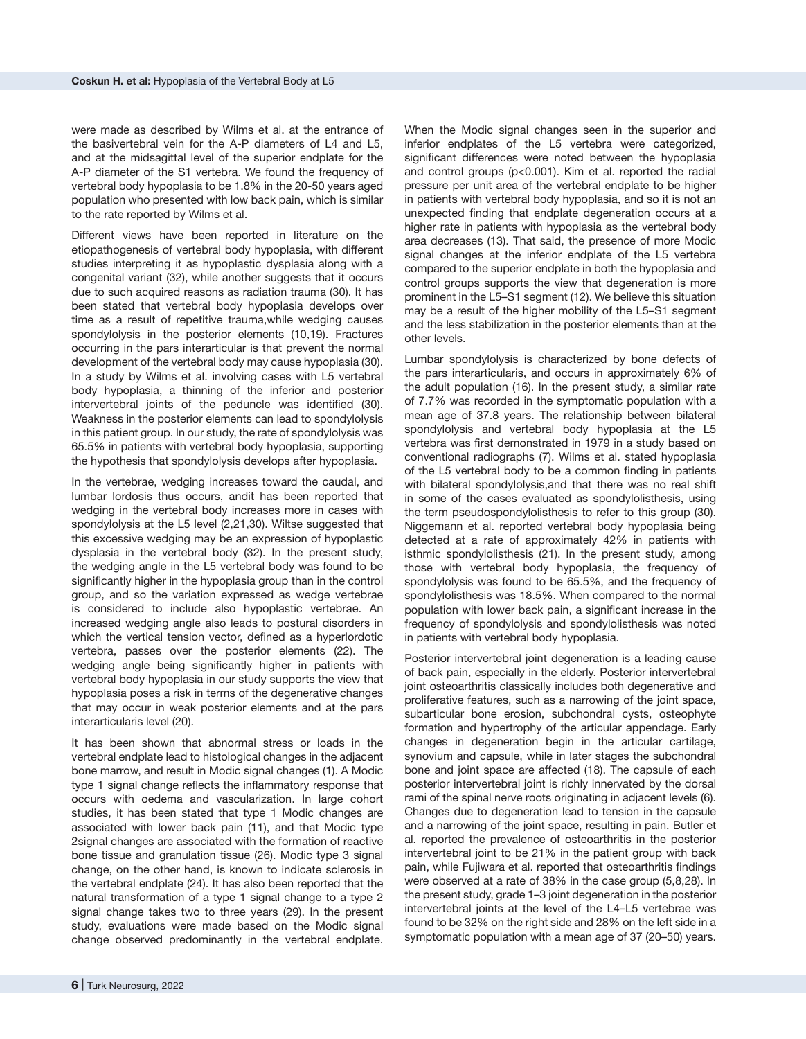were made as described by Wilms et al. at the entrance of the basivertebral vein for the A-P diameters of L4 and L5, and at the midsagittal level of the superior endplate for the A-P diameter of the S1 vertebra. We found the frequency of vertebral body hypoplasia to be 1.8% in the 20-50 years aged population who presented with low back pain, which is similar to the rate reported by Wilms et al.

Different views have been reported in literature on the etiopathogenesis of vertebral body hypoplasia, with different studies interpreting it as hypoplastic dysplasia along with a congenital variant (32), while another suggests that it occurs due to such acquired reasons as radiation trauma (30). It has been stated that vertebral body hypoplasia develops over time as a result of repetitive trauma,while wedging causes spondylolysis in the posterior elements (10,19). Fractures occurring in the pars interarticular is that prevent the normal development of the vertebral body may cause hypoplasia (30). In a study by Wilms et al. involving cases with L5 vertebral body hypoplasia, a thinning of the inferior and posterior intervertebral joints of the peduncle was identified (30). Weakness in the posterior elements can lead to spondylolysis in this patient group. In our study, the rate of spondylolysis was 65.5% in patients with vertebral body hypoplasia, supporting the hypothesis that spondylolysis develops after hypoplasia.

In the vertebrae, wedging increases toward the caudal, and lumbar lordosis thus occurs, andit has been reported that wedging in the vertebral body increases more in cases with spondylolysis at the L5 level (2,21,30). Wiltse suggested that this excessive wedging may be an expression of hypoplastic dysplasia in the vertebral body (32). In the present study, the wedging angle in the L5 vertebral body was found to be significantly higher in the hypoplasia group than in the control group, and so the variation expressed as wedge vertebrae is considered to include also hypoplastic vertebrae. An increased wedging angle also leads to postural disorders in which the vertical tension vector, defined as a hyperlordotic vertebra, passes over the posterior elements (22). The wedging angle being significantly higher in patients with vertebral body hypoplasia in our study supports the view that hypoplasia poses a risk in terms of the degenerative changes that may occur in weak posterior elements and at the pars interarticularis level (20).

It has been shown that abnormal stress or loads in the vertebral endplate lead to histological changes in the adjacent bone marrow, and result in Modic signal changes (1). A Modic type 1 signal change reflects the inflammatory response that occurs with oedema and vascularization. In large cohort studies, it has been stated that type 1 Modic changes are associated with lower back pain (11), and that Modic type 2signal changes are associated with the formation of reactive bone tissue and granulation tissue (26). Modic type 3 signal change, on the other hand, is known to indicate sclerosis in the vertebral endplate (24). It has also been reported that the natural transformation of a type 1 signal change to a type 2 signal change takes two to three years (29). In the present study, evaluations were made based on the Modic signal change observed predominantly in the vertebral endplate.

When the Modic signal changes seen in the superior and inferior endplates of the L5 vertebra were categorized, significant differences were noted between the hypoplasia and control groups (p<0.001). Kim et al. reported the radial pressure per unit area of the vertebral endplate to be higher in patients with vertebral body hypoplasia, and so it is not an unexpected finding that endplate degeneration occurs at a higher rate in patients with hypoplasia as the vertebral body area decreases (13). That said, the presence of more Modic signal changes at the inferior endplate of the L5 vertebra compared to the superior endplate in both the hypoplasia and control groups supports the view that degeneration is more prominent in the L5–S1 segment (12). We believe this situation may be a result of the higher mobility of the L5–S1 segment and the less stabilization in the posterior elements than at the other levels.

Lumbar spondylolysis is characterized by bone defects of the pars interarticularis, and occurs in approximately 6% of the adult population (16). In the present study, a similar rate of 7.7% was recorded in the symptomatic population with a mean age of 37.8 years. The relationship between bilateral spondylolysis and vertebral body hypoplasia at the L5 vertebra was first demonstrated in 1979 in a study based on conventional radiographs (7). Wilms et al. stated hypoplasia of the L5 vertebral body to be a common finding in patients with bilateral spondylolysis,and that there was no real shift in some of the cases evaluated as spondylolisthesis, using the term pseudospondylolisthesis to refer to this group (30). Niggemann et al. reported vertebral body hypoplasia being detected at a rate of approximately 42% in patients with isthmic spondylolisthesis (21). In the present study, among those with vertebral body hypoplasia, the frequency of spondylolysis was found to be 65.5%, and the frequency of spondylolisthesis was 18.5%. When compared to the normal population with lower back pain, a significant increase in the frequency of spondylolysis and spondylolisthesis was noted in patients with vertebral body hypoplasia.

Posterior intervertebral joint degeneration is a leading cause of back pain, especially in the elderly. Posterior intervertebral joint osteoarthritis classically includes both degenerative and proliferative features, such as a narrowing of the joint space, subarticular bone erosion, subchondral cysts, osteophyte formation and hypertrophy of the articular appendage. Early changes in degeneration begin in the articular cartilage, synovium and capsule, while in later stages the subchondral bone and joint space are affected (18). The capsule of each posterior intervertebral joint is richly innervated by the dorsal rami of the spinal nerve roots originating in adjacent levels (6). Changes due to degeneration lead to tension in the capsule and a narrowing of the joint space, resulting in pain. Butler et al. reported the prevalence of osteoarthritis in the posterior intervertebral joint to be 21% in the patient group with back pain, while Fujiwara et al. reported that osteoarthritis findings were observed at a rate of 38% in the case group (5,8,28). In the present study, grade 1–3 joint degeneration in the posterior intervertebral joints at the level of the L4–L5 vertebrae was found to be 32% on the right side and 28% on the left side in a symptomatic population with a mean age of 37 (20–50) years.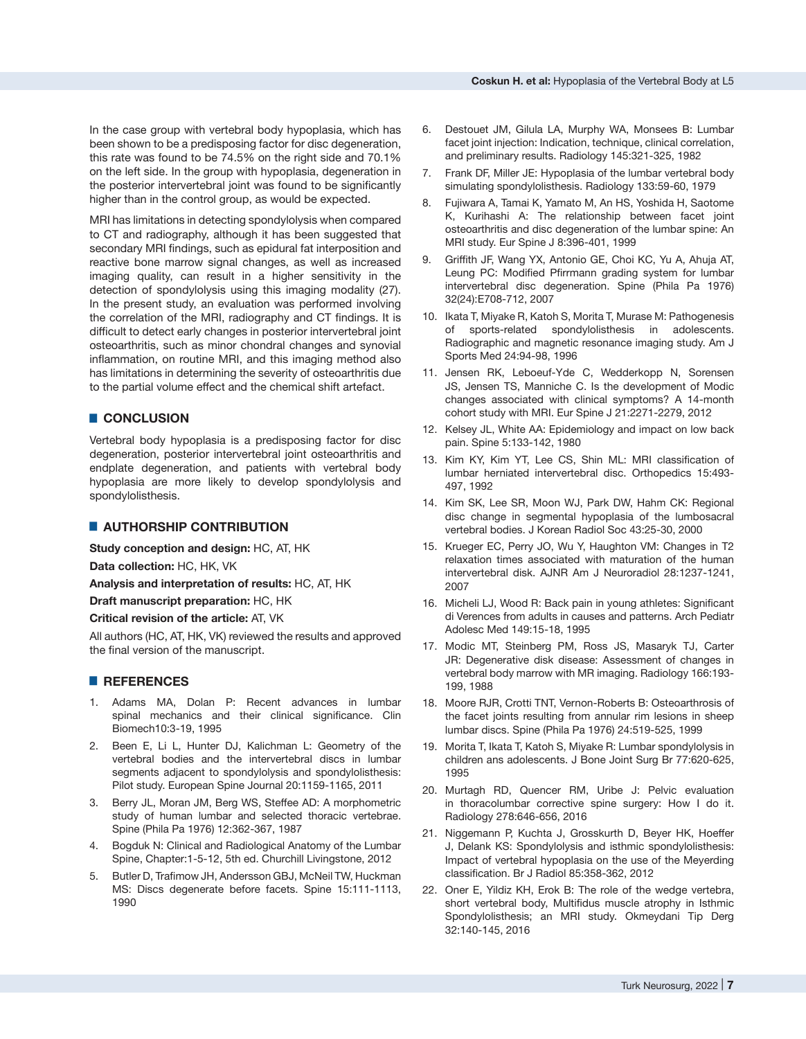In the case group with vertebral body hypoplasia, which has been shown to be a predisposing factor for disc degeneration, this rate was found to be 74.5% on the right side and 70.1% on the left side. In the group with hypoplasia, degeneration in the posterior intervertebral joint was found to be significantly higher than in the control group, as would be expected.

MRI has limitations in detecting spondylolysis when compared to CT and radiography, although it has been suggested that secondary MRI findings, such as epidural fat interposition and reactive bone marrow signal changes, as well as increased imaging quality, can result in a higher sensitivity in the detection of spondylolysis using this imaging modality (27). In the present study, an evaluation was performed involving the correlation of the MRI, radiography and CT findings. It is difficult to detect early changes in posterior intervertebral joint osteoarthritis, such as minor chondral changes and synovial inflammation, on routine MRI, and this imaging method also has limitations in determining the severity of osteoarthritis due to the partial volume effect and the chemical shift artefact.

# █ **CONCLUSION**

Vertebral body hypoplasia is a predisposing factor for disc degeneration, posterior intervertebral joint osteoarthritis and endplate degeneration, and patients with vertebral body hypoplasia are more likely to develop spondylolysis and spondylolisthesis.

#### **E** AUTHORSHIP CONTRIBUTION

**Study conception and design:** HC, AT, HK

**Data collection:** HC, HK, VK

**Analysis and interpretation of results:** HC, AT, HK

**Draft manuscript preparation:** HC, HK

**Critical revision of the article:** AT, VK

All authors (HC, AT, HK, VK) reviewed the results and approved the final version of the manuscript.

# █ **REFERENCES**

- 1. Adams MA, Dolan P: Recent advances in lumbar spinal mechanics and their clinical significance. Clin Biomech10:3-19, 1995
- 2. Been E, Li L, Hunter DJ, Kalichman L: Geometry of the vertebral bodies and the intervertebral discs in lumbar segments adjacent to spondylolysis and spondylolisthesis: Pilot study. European Spine Journal 20:1159-1165, 2011
- 3. Berry JL, Moran JM, Berg WS, Steffee AD: A morphometric study of human lumbar and selected thoracic vertebrae. Spine (Phila Pa 1976) 12:362-367, 1987
- 4. Bogduk N: Clinical and Radiological Anatomy of the Lumbar Spine, Chapter:1-5-12, 5th ed. Churchill Livingstone, 2012
- 5. Butler D, Trafimow JH, Andersson GBJ, McNeil TW, Huckman MS: Discs degenerate before facets. Spine 15:111-1113, 1990
- 6. Destouet JM, Gilula LA, Murphy WA, Monsees B: Lumbar facet joint injection: Indication, technique, clinical correlation, and preliminary results. Radiology 145:321-325, 1982
- 7. Frank DF, Miller JE: Hypoplasia of the lumbar vertebral body simulating spondylolisthesis. Radiology 133:59-60, 1979
- 8. Fujiwara A, Tamai K, Yamato M, An HS, Yoshida H, Saotome K, Kurihashi A: The relationship between facet joint osteoarthritis and disc degeneration of the lumbar spine: An MRI study. Eur Spine J 8:396-401, 1999
- 9. Griffith JF, Wang YX, Antonio GE, Choi KC, Yu A, Ahuja AT, Leung PC: Modified Pfirrmann grading system for lumbar intervertebral disc degeneration. Spine (Phila Pa 1976) 32(24):E708-712, 2007
- 10. Ikata T, Miyake R, Katoh S, Morita T, Murase M: Pathogenesis of sports-related spondylolisthesis in adolescents. Radiographic and magnetic resonance imaging study. Am J Sports Med 24:94-98, 1996
- 11. Jensen RK, Leboeuf-Yde C, Wedderkopp N, Sorensen JS, Jensen TS, Manniche C. Is the development of Modic changes associated with clinical symptoms? A 14-month cohort study with MRI. Eur Spine J 21:2271-2279, 2012
- 12. Kelsey JL, White AA: Epidemiology and impact on low back pain. Spine 5:133-142, 1980
- 13. Kim KY, Kim YT, Lee CS, Shin ML: MRI classification of lumbar herniated intervertebral disc. Orthopedics 15:493- 497, 1992
- 14. Kim SK, Lee SR, Moon WJ, Park DW, Hahm CK: Regional disc change in segmental hypoplasia of the lumbosacral vertebral bodies. J Korean Radiol Soc 43:25-30, 2000
- 15. Krueger EC, Perry JO, Wu Y, Haughton VM: Changes in T2 relaxation times associated with maturation of the human intervertebral disk. AJNR Am J Neuroradiol 28:1237-1241, 2007
- 16. Micheli LJ, Wood R: Back pain in young athletes: Significant di Verences from adults in causes and patterns. Arch Pediatr Adolesc Med 149:15-18, 1995
- 17. Modic MT, Steinberg PM, Ross JS, Masaryk TJ, Carter JR: Degenerative disk disease: Assessment of changes in vertebral body marrow with MR imaging. Radiology 166:193- 199, 1988
- 18. Moore RJR, Crotti TNT, Vernon-Roberts B: Osteoarthrosis of the facet joints resulting from annular rim lesions in sheep lumbar discs. Spine (Phila Pa 1976) 24:519-525, 1999
- 19. Morita T, Ikata T, Katoh S, Miyake R: Lumbar spondylolysis in children ans adolescents. J Bone Joint Surg Br 77:620-625, 1995
- 20. Murtagh RD, Quencer RM, Uribe J: Pelvic evaluation in thoracolumbar corrective spine surgery: How I do it. Radiology 278:646-656, 2016
- 21. Niggemann P, Kuchta J, Grosskurth D, Beyer HK, Hoeffer J, Delank KS: Spondylolysis and isthmic spondylolisthesis: Impact of vertebral hypoplasia on the use of the Meyerding classification. Br J Radiol 85:358-362, 2012
- 22. Oner E, Yildiz KH, Erok B: The role of the wedge vertebra, short vertebral body, Multifidus muscle atrophy in Isthmic Spondylolisthesis; an MRI study. Okmeydani Tip Derg 32:140-145, 2016